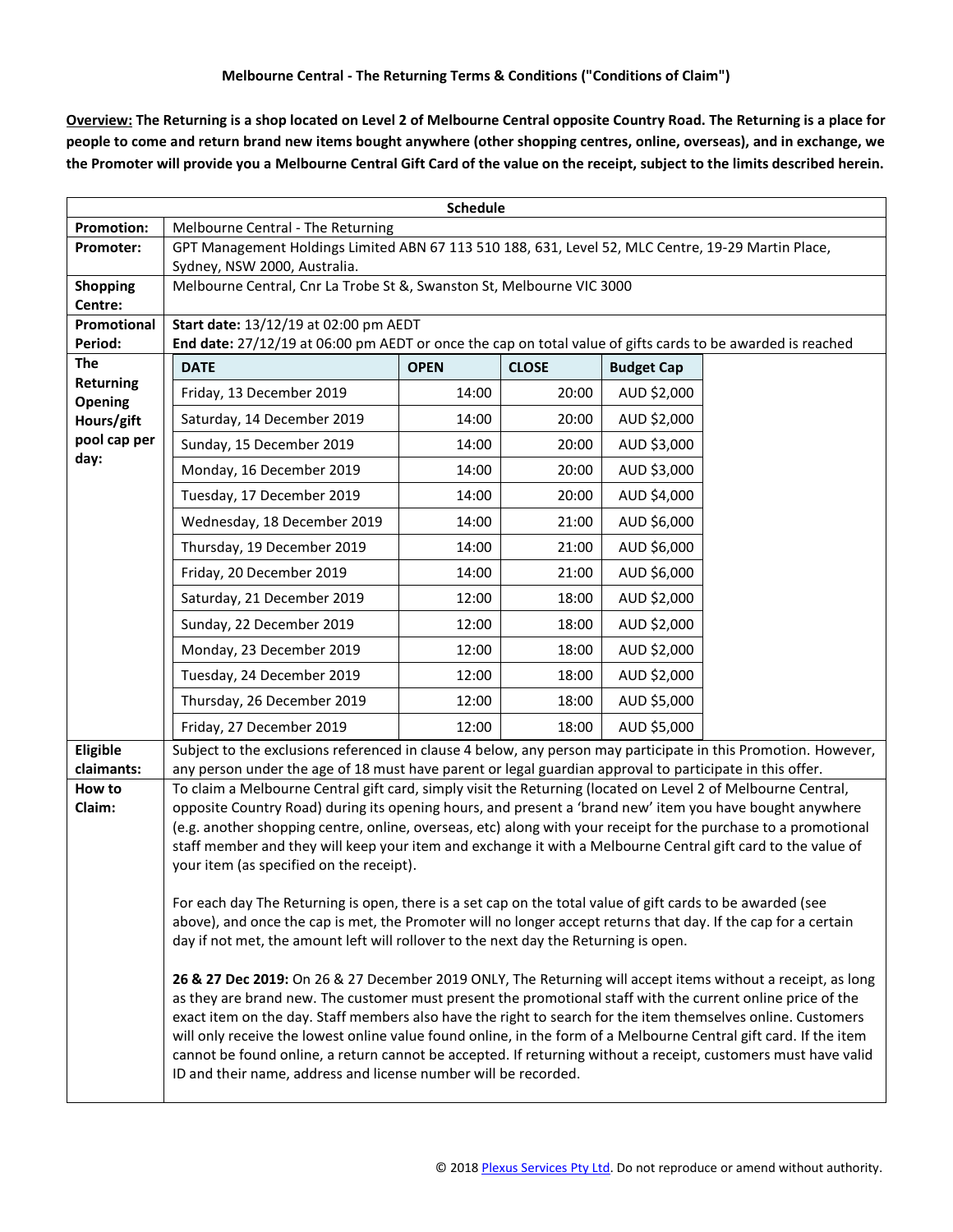**Overview: The Returning is a shop located on Level 2 of Melbourne Central opposite Country Road. The Returning is a place for people to come and return brand new items bought anywhere (other shopping centres, online, overseas), and in exchange, we the Promoter will provide you a Melbourne Central Gift Card of the value on the receipt, subject to the limits described herein.**

| <b>Schedule</b>                                                   |                                                                                                                                                                                                                                 |             |              |                   |  |  |  |
|-------------------------------------------------------------------|---------------------------------------------------------------------------------------------------------------------------------------------------------------------------------------------------------------------------------|-------------|--------------|-------------------|--|--|--|
| <b>Promotion:</b>                                                 | Melbourne Central - The Returning                                                                                                                                                                                               |             |              |                   |  |  |  |
| Promoter:                                                         | GPT Management Holdings Limited ABN 67 113 510 188, 631, Level 52, MLC Centre, 19-29 Martin Place,<br>Sydney, NSW 2000, Australia.                                                                                              |             |              |                   |  |  |  |
| <b>Shopping</b><br>Centre:                                        | Melbourne Central, Cnr La Trobe St &, Swanston St, Melbourne VIC 3000                                                                                                                                                           |             |              |                   |  |  |  |
| Promotional                                                       | Start date: 13/12/19 at 02:00 pm AEDT                                                                                                                                                                                           |             |              |                   |  |  |  |
| Period:                                                           | End date: 27/12/19 at 06:00 pm AEDT or once the cap on total value of gifts cards to be awarded is reached                                                                                                                      |             |              |                   |  |  |  |
| The<br>Returning<br>Opening<br>Hours/gift<br>pool cap per<br>day: | <b>DATE</b>                                                                                                                                                                                                                     | <b>OPEN</b> | <b>CLOSE</b> | <b>Budget Cap</b> |  |  |  |
|                                                                   | Friday, 13 December 2019                                                                                                                                                                                                        | 14:00       | 20:00        | AUD \$2,000       |  |  |  |
|                                                                   | Saturday, 14 December 2019                                                                                                                                                                                                      | 14:00       | 20:00        | AUD \$2,000       |  |  |  |
|                                                                   | Sunday, 15 December 2019                                                                                                                                                                                                        | 14:00       | 20:00        | AUD \$3,000       |  |  |  |
|                                                                   | Monday, 16 December 2019                                                                                                                                                                                                        | 14:00       | 20:00        | AUD \$3,000       |  |  |  |
|                                                                   | Tuesday, 17 December 2019                                                                                                                                                                                                       | 14:00       | 20:00        | AUD \$4,000       |  |  |  |
|                                                                   | Wednesday, 18 December 2019                                                                                                                                                                                                     | 14:00       | 21:00        | AUD \$6,000       |  |  |  |
|                                                                   | Thursday, 19 December 2019                                                                                                                                                                                                      | 14:00       | 21:00        | AUD \$6,000       |  |  |  |
|                                                                   | Friday, 20 December 2019                                                                                                                                                                                                        | 14:00       | 21:00        | AUD \$6,000       |  |  |  |
|                                                                   | Saturday, 21 December 2019                                                                                                                                                                                                      | 12:00       | 18:00        | AUD \$2,000       |  |  |  |
|                                                                   | Sunday, 22 December 2019                                                                                                                                                                                                        | 12:00       | 18:00        | AUD \$2,000       |  |  |  |
|                                                                   | Monday, 23 December 2019                                                                                                                                                                                                        | 12:00       | 18:00        | AUD \$2,000       |  |  |  |
|                                                                   | Tuesday, 24 December 2019                                                                                                                                                                                                       | 12:00       | 18:00        | AUD \$2,000       |  |  |  |
|                                                                   | Thursday, 26 December 2019                                                                                                                                                                                                      | 12:00       | 18:00        | AUD \$5,000       |  |  |  |
|                                                                   | Friday, 27 December 2019                                                                                                                                                                                                        | 12:00       | 18:00        | AUD \$5,000       |  |  |  |
| Eligible                                                          | Subject to the exclusions referenced in clause 4 below, any person may participate in this Promotion. However,                                                                                                                  |             |              |                   |  |  |  |
| claimants:                                                        | any person under the age of 18 must have parent or legal guardian approval to participate in this offer.                                                                                                                        |             |              |                   |  |  |  |
| How to<br>Claim:                                                  | To claim a Melbourne Central gift card, simply visit the Returning (located on Level 2 of Melbourne Central,<br>opposite Country Road) during its opening hours, and present a 'brand new' item you have bought anywhere        |             |              |                   |  |  |  |
|                                                                   |                                                                                                                                                                                                                                 |             |              |                   |  |  |  |
|                                                                   | (e.g. another shopping centre, online, overseas, etc) along with your receipt for the purchase to a promotional<br>staff member and they will keep your item and exchange it with a Melbourne Central gift card to the value of |             |              |                   |  |  |  |
|                                                                   | your item (as specified on the receipt).                                                                                                                                                                                        |             |              |                   |  |  |  |
|                                                                   | For each day The Returning is open, there is a set cap on the total value of gift cards to be awarded (see                                                                                                                      |             |              |                   |  |  |  |
|                                                                   | above), and once the cap is met, the Promoter will no longer accept returns that day. If the cap for a certain                                                                                                                  |             |              |                   |  |  |  |
|                                                                   | day if not met, the amount left will rollover to the next day the Returning is open.                                                                                                                                            |             |              |                   |  |  |  |
|                                                                   | 26 & 27 Dec 2019: On 26 & 27 December 2019 ONLY, The Returning will accept items without a receipt, as long                                                                                                                     |             |              |                   |  |  |  |
|                                                                   | as they are brand new. The customer must present the promotional staff with the current online price of the<br>exact item on the day. Staff members also have the right to search for the item themselves online. Customers     |             |              |                   |  |  |  |
|                                                                   | will only receive the lowest online value found online, in the form of a Melbourne Central gift card. If the item                                                                                                               |             |              |                   |  |  |  |
|                                                                   | cannot be found online, a return cannot be accepted. If returning without a receipt, customers must have valid<br>ID and their name, address and license number will be recorded.                                               |             |              |                   |  |  |  |
|                                                                   |                                                                                                                                                                                                                                 |             |              |                   |  |  |  |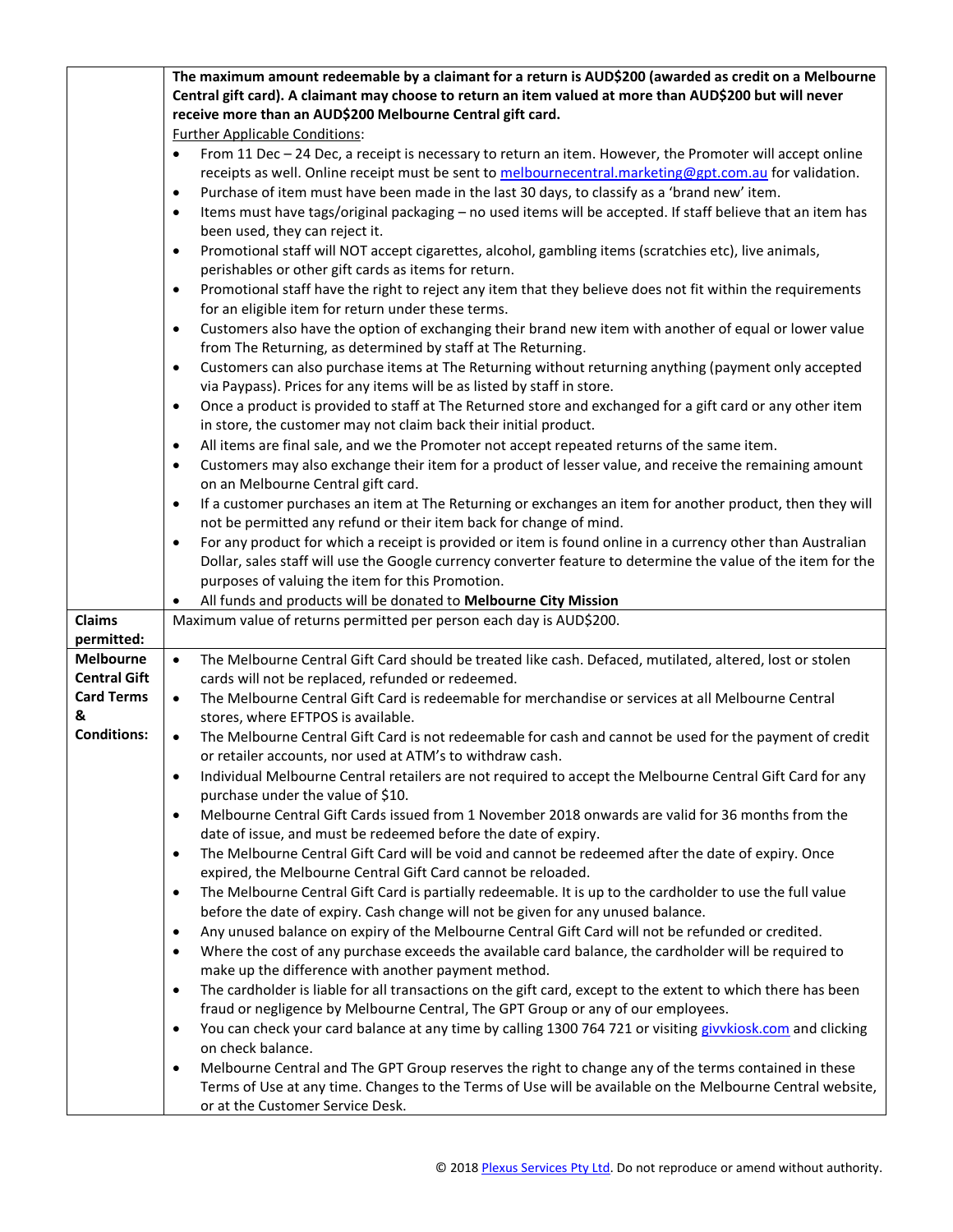|                      | The maximum amount redeemable by a claimant for a return is AUD\$200 (awarded as credit on a Melbourne                                                                        |  |  |  |  |
|----------------------|-------------------------------------------------------------------------------------------------------------------------------------------------------------------------------|--|--|--|--|
|                      | Central gift card). A claimant may choose to return an item valued at more than AUD\$200 but will never                                                                       |  |  |  |  |
|                      | receive more than an AUD\$200 Melbourne Central gift card.                                                                                                                    |  |  |  |  |
|                      | <b>Further Applicable Conditions:</b>                                                                                                                                         |  |  |  |  |
|                      | From 11 Dec - 24 Dec, a receipt is necessary to return an item. However, the Promoter will accept online<br>$\bullet$                                                         |  |  |  |  |
|                      | receipts as well. Online receipt must be sent to melbournecentral.marketing@gpt.com.au for validation.                                                                        |  |  |  |  |
|                      | Purchase of item must have been made in the last 30 days, to classify as a 'brand new' item.<br>$\bullet$                                                                     |  |  |  |  |
|                      | Items must have tags/original packaging - no used items will be accepted. If staff believe that an item has<br>$\bullet$                                                      |  |  |  |  |
|                      | been used, they can reject it.                                                                                                                                                |  |  |  |  |
|                      | Promotional staff will NOT accept cigarettes, alcohol, gambling items (scratchies etc), live animals,<br>$\bullet$                                                            |  |  |  |  |
|                      | perishables or other gift cards as items for return.                                                                                                                          |  |  |  |  |
|                      | Promotional staff have the right to reject any item that they believe does not fit within the requirements<br>$\bullet$<br>for an eligible item for return under these terms. |  |  |  |  |
|                      | Customers also have the option of exchanging their brand new item with another of equal or lower value<br>$\bullet$                                                           |  |  |  |  |
|                      | from The Returning, as determined by staff at The Returning.                                                                                                                  |  |  |  |  |
|                      | Customers can also purchase items at The Returning without returning anything (payment only accepted<br>$\bullet$                                                             |  |  |  |  |
|                      | via Paypass). Prices for any items will be as listed by staff in store.                                                                                                       |  |  |  |  |
|                      | Once a product is provided to staff at The Returned store and exchanged for a gift card or any other item<br>$\bullet$                                                        |  |  |  |  |
|                      | in store, the customer may not claim back their initial product.                                                                                                              |  |  |  |  |
|                      | All items are final sale, and we the Promoter not accept repeated returns of the same item.<br>$\bullet$                                                                      |  |  |  |  |
|                      | Customers may also exchange their item for a product of lesser value, and receive the remaining amount<br>٠                                                                   |  |  |  |  |
|                      | on an Melbourne Central gift card.                                                                                                                                            |  |  |  |  |
|                      | If a customer purchases an item at The Returning or exchanges an item for another product, then they will<br>$\bullet$                                                        |  |  |  |  |
|                      | not be permitted any refund or their item back for change of mind.                                                                                                            |  |  |  |  |
|                      | For any product for which a receipt is provided or item is found online in a currency other than Australian<br>$\bullet$                                                      |  |  |  |  |
|                      | Dollar, sales staff will use the Google currency converter feature to determine the value of the item for the                                                                 |  |  |  |  |
|                      | purposes of valuing the item for this Promotion.                                                                                                                              |  |  |  |  |
|                      | All funds and products will be donated to Melbourne City Mission<br>$\bullet$                                                                                                 |  |  |  |  |
| Claims<br>permitted: | Maximum value of returns permitted per person each day is AUD\$200.                                                                                                           |  |  |  |  |
|                      |                                                                                                                                                                               |  |  |  |  |
| <b>Melbourne</b>     | $\bullet$                                                                                                                                                                     |  |  |  |  |
| <b>Central Gift</b>  | The Melbourne Central Gift Card should be treated like cash. Defaced, mutilated, altered, lost or stolen                                                                      |  |  |  |  |
| <b>Card Terms</b>    | cards will not be replaced, refunded or redeemed.<br>$\bullet$                                                                                                                |  |  |  |  |
| &                    | The Melbourne Central Gift Card is redeemable for merchandise or services at all Melbourne Central                                                                            |  |  |  |  |
| <b>Conditions:</b>   | stores, where EFTPOS is available.<br>$\bullet$                                                                                                                               |  |  |  |  |
|                      | The Melbourne Central Gift Card is not redeemable for cash and cannot be used for the payment of credit<br>or retailer accounts, nor used at ATM's to withdraw cash.          |  |  |  |  |
|                      | Individual Melbourne Central retailers are not required to accept the Melbourne Central Gift Card for any<br>$\bullet$                                                        |  |  |  |  |
|                      | purchase under the value of \$10.                                                                                                                                             |  |  |  |  |
|                      | Melbourne Central Gift Cards issued from 1 November 2018 onwards are valid for 36 months from the<br>$\bullet$                                                                |  |  |  |  |
|                      | date of issue, and must be redeemed before the date of expiry.                                                                                                                |  |  |  |  |
|                      | The Melbourne Central Gift Card will be void and cannot be redeemed after the date of expiry. Once<br>$\bullet$                                                               |  |  |  |  |
|                      | expired, the Melbourne Central Gift Card cannot be reloaded.                                                                                                                  |  |  |  |  |
|                      | The Melbourne Central Gift Card is partially redeemable. It is up to the cardholder to use the full value<br>$\bullet$                                                        |  |  |  |  |
|                      | before the date of expiry. Cash change will not be given for any unused balance.                                                                                              |  |  |  |  |
|                      | Any unused balance on expiry of the Melbourne Central Gift Card will not be refunded or credited.<br>$\bullet$                                                                |  |  |  |  |
|                      | Where the cost of any purchase exceeds the available card balance, the cardholder will be required to<br>$\bullet$                                                            |  |  |  |  |
|                      | make up the difference with another payment method.                                                                                                                           |  |  |  |  |
|                      | The cardholder is liable for all transactions on the gift card, except to the extent to which there has been<br>$\bullet$                                                     |  |  |  |  |
|                      | fraud or negligence by Melbourne Central, The GPT Group or any of our employees.                                                                                              |  |  |  |  |
|                      | You can check your card balance at any time by calling 1300 764 721 or visiting givvkiosk.com and clicking<br>$\bullet$                                                       |  |  |  |  |
|                      | on check balance.                                                                                                                                                             |  |  |  |  |
|                      | Melbourne Central and The GPT Group reserves the right to change any of the terms contained in these<br>$\bullet$                                                             |  |  |  |  |
|                      | Terms of Use at any time. Changes to the Terms of Use will be available on the Melbourne Central website,<br>or at the Customer Service Desk.                                 |  |  |  |  |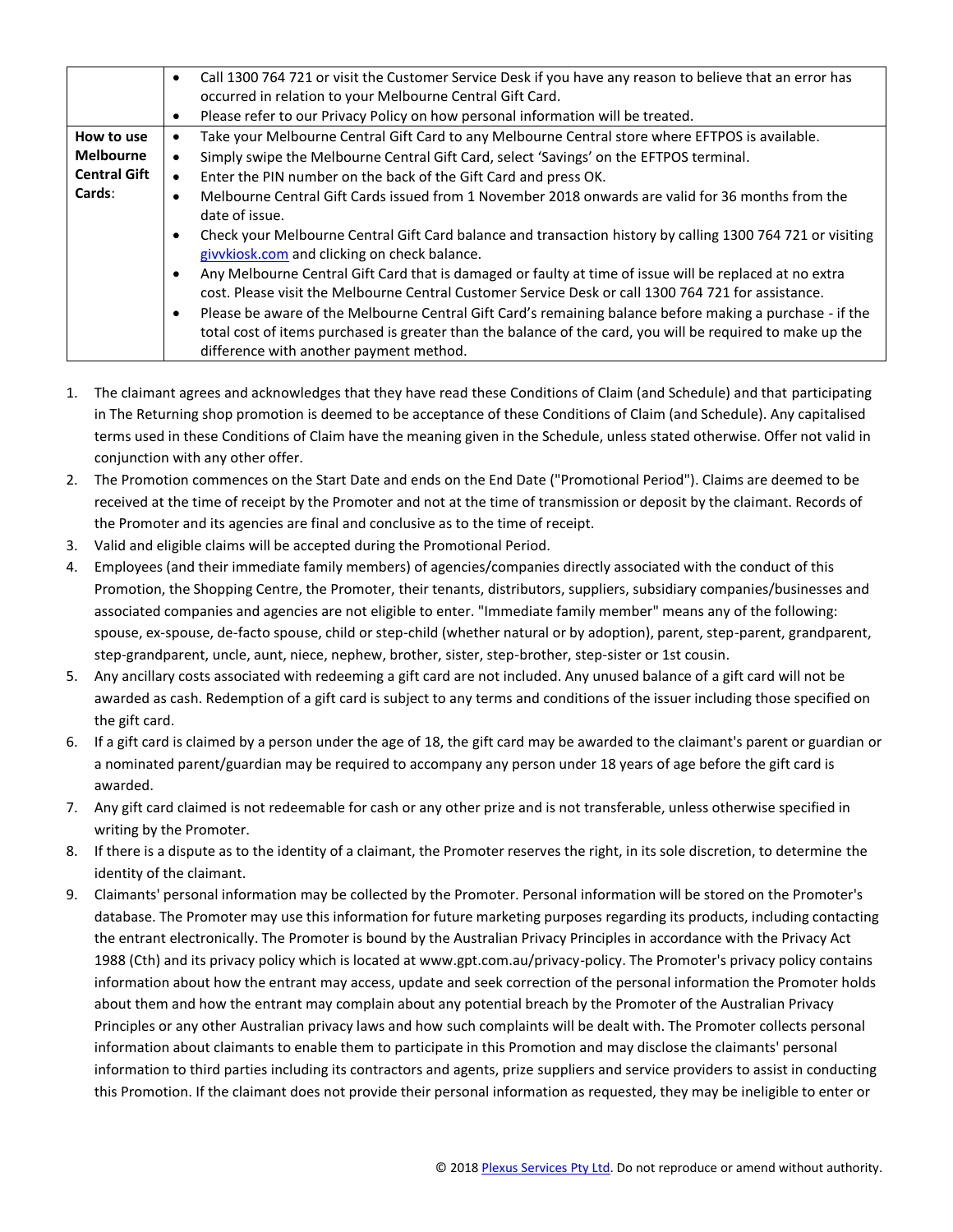|                     |           | Call 1300 764 721 or visit the Customer Service Desk if you have any reason to believe that an error has<br>occurred in relation to your Melbourne Central Gift Card. |  |  |
|---------------------|-----------|-----------------------------------------------------------------------------------------------------------------------------------------------------------------------|--|--|
|                     | $\bullet$ | Please refer to our Privacy Policy on how personal information will be treated.                                                                                       |  |  |
| How to use          |           | Take your Melbourne Central Gift Card to any Melbourne Central store where EFTPOS is available.                                                                       |  |  |
| <b>Melbourne</b>    | $\bullet$ | Simply swipe the Melbourne Central Gift Card, select 'Savings' on the EFTPOS terminal.                                                                                |  |  |
| <b>Central Gift</b> | $\bullet$ | Enter the PIN number on the back of the Gift Card and press OK.                                                                                                       |  |  |
| Cards:              |           | Melbourne Central Gift Cards issued from 1 November 2018 onwards are valid for 36 months from the                                                                     |  |  |
|                     |           | date of issue.                                                                                                                                                        |  |  |
|                     |           | Check your Melbourne Central Gift Card balance and transaction history by calling 1300 764 721 or visiting<br>givvkiosk.com and clicking on check balance.            |  |  |
|                     |           | Any Melbourne Central Gift Card that is damaged or faulty at time of issue will be replaced at no extra                                                               |  |  |
|                     |           | cost. Please visit the Melbourne Central Customer Service Desk or call 1300 764 721 for assistance.                                                                   |  |  |
|                     | $\bullet$ | Please be aware of the Melbourne Central Gift Card's remaining balance before making a purchase - if the                                                              |  |  |
|                     |           | total cost of items purchased is greater than the balance of the card, you will be required to make up the                                                            |  |  |
|                     |           | difference with another payment method.                                                                                                                               |  |  |

- 1. The claimant agrees and acknowledges that they have read these Conditions of Claim (and Schedule) and that participating in The Returning shop promotion is deemed to be acceptance of these Conditions of Claim (and Schedule). Any capitalised terms used in these Conditions of Claim have the meaning given in the Schedule, unless stated otherwise. Offer not valid in conjunction with any other offer.
- 2. The Promotion commences on the Start Date and ends on the End Date ("Promotional Period"). Claims are deemed to be received at the time of receipt by the Promoter and not at the time of transmission or deposit by the claimant. Records of the Promoter and its agencies are final and conclusive as to the time of receipt.
- 3. Valid and eligible claims will be accepted during the Promotional Period.
- 4. Employees (and their immediate family members) of agencies/companies directly associated with the conduct of this Promotion, the Shopping Centre, the Promoter, their tenants, distributors, suppliers, subsidiary companies/businesses and associated companies and agencies are not eligible to enter. "Immediate family member" means any of the following: spouse, ex-spouse, de-facto spouse, child or step-child (whether natural or by adoption), parent, step-parent, grandparent, step-grandparent, uncle, aunt, niece, nephew, brother, sister, step-brother, step-sister or 1st cousin.
- 5. Any ancillary costs associated with redeeming a gift card are not included. Any unused balance of a gift card will not be awarded as cash. Redemption of a gift card is subject to any terms and conditions of the issuer including those specified on the gift card.
- 6. If a gift card is claimed by a person under the age of 18, the gift card may be awarded to the claimant's parent or guardian or a nominated parent/guardian may be required to accompany any person under 18 years of age before the gift card is awarded.
- 7. Any gift card claimed is not redeemable for cash or any other prize and is not transferable, unless otherwise specified in writing by the Promoter.
- 8. If there is a dispute as to the identity of a claimant, the Promoter reserves the right, in its sole discretion, to determine the identity of the claimant.
- 9. Claimants' personal information may be collected by the Promoter. Personal information will be stored on the Promoter's database. The Promoter may use this information for future marketing purposes regarding its products, including contacting the entrant electronically. The Promoter is bound by the Australian Privacy Principles in accordance with the Privacy Act 1988 (Cth) and its privacy policy which is located at www.gpt.com.au/privacy-policy. The Promoter's privacy policy contains information about how the entrant may access, update and seek correction of the personal information the Promoter holds about them and how the entrant may complain about any potential breach by the Promoter of the Australian Privacy Principles or any other Australian privacy laws and how such complaints will be dealt with. The Promoter collects personal information about claimants to enable them to participate in this Promotion and may disclose the claimants' personal information to third parties including its contractors and agents, prize suppliers and service providers to assist in conducting this Promotion. If the claimant does not provide their personal information as requested, they may be ineligible to enter or